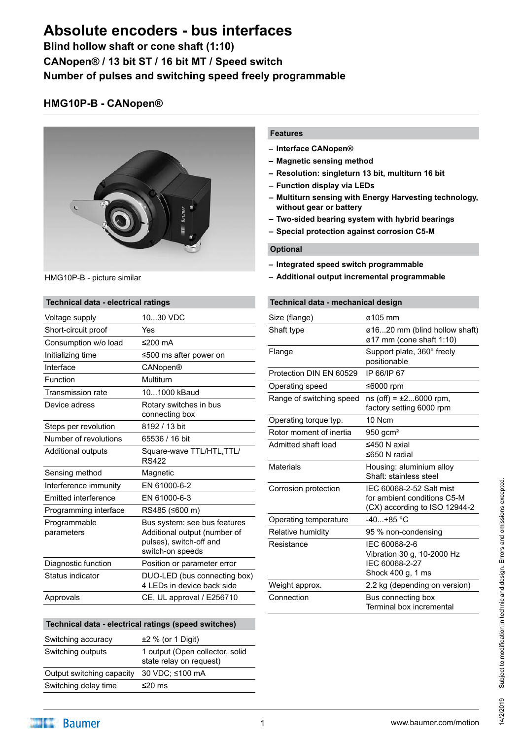**Blind hollow shaft or cone shaft (1:10) CANopen® / 13 bit ST / 16 bit MT / Speed switch Number of pulses and switching speed freely programmable**

### **HMG10P-B - CANopen®**



HMG10P-B - picture similar

#### **Technical data - electrical ratings**

| Voltage supply              | 1030 VDC                                                                                                    |
|-----------------------------|-------------------------------------------------------------------------------------------------------------|
| Short-circuit proof         | Yes                                                                                                         |
| Consumption w/o load        | ≤200 $mA$                                                                                                   |
| Initializing time           | ≤500 ms after power on                                                                                      |
| Interface                   | CANopen®                                                                                                    |
| Function                    | Multiturn                                                                                                   |
| Transmission rate           | 101000 kBaud                                                                                                |
| Device adress               | Rotary switches in bus<br>connecting box                                                                    |
| Steps per revolution        | 8192 / 13 bit                                                                                               |
| Number of revolutions       | 65536 / 16 bit                                                                                              |
| Additional outputs          | Square-wave TTL/HTL, TTL/<br><b>RS422</b>                                                                   |
| Sensing method              | Magnetic                                                                                                    |
| Interference immunity       | EN 61000-6-2                                                                                                |
| <b>Emitted interference</b> | EN 61000-6-3                                                                                                |
| Programming interface       | RS485 (≤600 m)                                                                                              |
| Programmable<br>parameters  | Bus system: see bus features<br>Additional output (number of<br>pulses), switch-off and<br>switch-on speeds |
| Diagnostic function         | Position or parameter error                                                                                 |
| Status indicator            | DUO-LED (bus connecting box)<br>4 LEDs in device back side                                                  |
| Approvals                   | CE, UL approval / E256710                                                                                   |

### **Technical data - electrical ratings (speed switches)** Switching accuracy ±2 % (or 1 Digit) Switching outputs 1 output (Open collector, solid state relay on request) Output switching capacity 30 VDC; ≤100 mA Switching delay time ≤20 ms

#### **Features**

- **– Interface CANopen®**
- **– Magnetic sensing method**
- **– Resolution: singleturn 13 bit, multiturn 16 bit**
- **– Function display via LEDs**
- **– Multiturn sensing with Energy Harvesting technology, without gear or battery**
- **– Two-sided bearing system with hybrid bearings**
- **– Special protection against corrosion C5-M**

#### **Optional**

- **– Integrated speed switch programmable**
- **– Additional output incremental programmable**

#### **Technical data - mechanical design**

| Size (flange)            | ø105 mm                                                                                  |
|--------------------------|------------------------------------------------------------------------------------------|
| Shaft type               | ø1620 mm (blind hollow shaft)<br>$\varnothing$ 17 mm (cone shaft 1:10)                   |
| Flange                   | Support plate, 360° freely<br>positionable                                               |
| Protection DIN EN 60529  | IP 66/IP 67                                                                              |
| Operating speed          | ≤6000 rpm                                                                                |
| Range of switching speed | $ns(off) = ±26000$ rpm,<br>factory setting 6000 rpm                                      |
| Operating torque typ.    | 10 Ncm                                                                                   |
| Rotor moment of inertia  | 950 gcm <sup>2</sup>                                                                     |
| Admitted shaft load      | ≤450 N axial<br>≤650 N radial                                                            |
| <b>Materials</b>         | Housing: aluminium alloy<br>Shaft: stainless steel                                       |
| Corrosion protection     | IEC 60068-2-52 Salt mist<br>for ambient conditions C5-M<br>(CX) according to ISO 12944-2 |
| Operating temperature    | $-40+85$ °C                                                                              |
| Relative humidity        | 95 % non-condensing                                                                      |
| Resistance               | IEC 60068-2-6<br>Vibration 30 g, 10-2000 Hz<br>IEC 60068-2-27<br>Shock 400 g, 1 ms       |
| Weight approx.           | 2.2 kg (depending on version)                                                            |
| Connection               | Bus connecting box<br>Terminal box incremental                                           |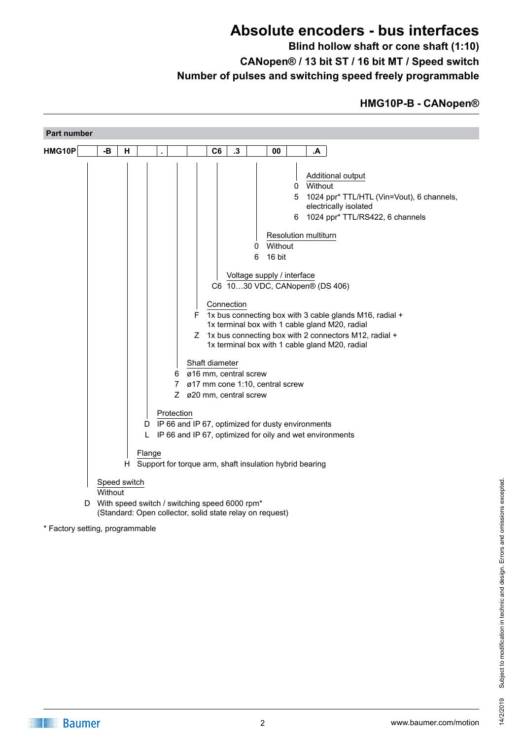**Blind hollow shaft or cone shaft (1:10) CANopen® / 13 bit ST / 16 bit MT / Speed switch Number of pulses and switching speed freely programmable**

### **HMG10P-B - CANopen®**

| Part number                     |         |              |                            |                                                                                                                                                                                                                                                                                                                                                                                                                                                                                                                                                                                                                                                                                                                                                 |
|---------------------------------|---------|--------------|----------------------------|-------------------------------------------------------------------------------------------------------------------------------------------------------------------------------------------------------------------------------------------------------------------------------------------------------------------------------------------------------------------------------------------------------------------------------------------------------------------------------------------------------------------------------------------------------------------------------------------------------------------------------------------------------------------------------------------------------------------------------------------------|
| HMG10P                          | -В      | H            |                            | $\cdot$ 3<br>C <sub>6</sub><br>A.<br>00                                                                                                                                                                                                                                                                                                                                                                                                                                                                                                                                                                                                                                                                                                         |
|                                 |         |              | 6<br>7<br>Protection<br>L. | Additional output<br>Without<br>0<br>5 1024 ppr* TTL/HTL (Vin=Vout), 6 channels,<br>electrically isolated<br>6 1024 ppr* TTL/RS422, 6 channels<br>Resolution multiturn<br>Without<br>0<br>16 bit<br>6<br>Voltage supply / interface<br>C6 1030 VDC, CANopen® (DS 406)<br>Connection<br>1x bus connecting box with 3 cable glands M16, radial +<br>F.<br>1x terminal box with 1 cable gland M20, radial<br>Z 1x bus connecting box with 2 connectors M12, radial +<br>1x terminal box with 1 cable gland M20, radial<br>Shaft diameter<br>ø16 mm, central screw<br>ø17 mm cone 1:10, central screw<br>Z ø20 mm, central screw<br>D IP 66 and IP 67, optimized for dusty environments<br>IP 66 and IP 67, optimized for oily and wet environments |
|                                 |         |              | Flange                     | H Support for torque arm, shaft insulation hybrid bearing                                                                                                                                                                                                                                                                                                                                                                                                                                                                                                                                                                                                                                                                                       |
|                                 | Without | Speed switch |                            |                                                                                                                                                                                                                                                                                                                                                                                                                                                                                                                                                                                                                                                                                                                                                 |
|                                 |         |              |                            | D With speed switch / switching speed 6000 rpm*<br>(Standard: Open collector, solid state relay on request)                                                                                                                                                                                                                                                                                                                                                                                                                                                                                                                                                                                                                                     |
| * Factory setting, programmable |         |              |                            |                                                                                                                                                                                                                                                                                                                                                                                                                                                                                                                                                                                                                                                                                                                                                 |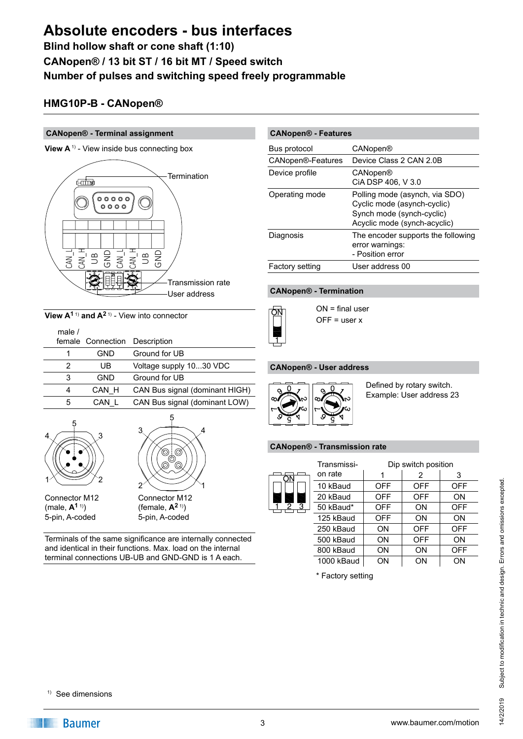**Blind hollow shaft or cone shaft (1:10) CANopen® / 13 bit ST / 16 bit MT / Speed switch Number of pulses and switching speed freely programmable**

### **HMG10P-B - CANopen®**

#### **CANopen® - Terminal assignment**





**View A1** 1) **and A2** 1) - View into connector

| male $/$ | female Connection | Description                    |
|----------|-------------------|--------------------------------|
|          | GND               | Ground for UB                  |
| 2        | UB                | Voltage supply 1030 VDC        |
| 3        | GND               | Ground for UB                  |
| 4        | CAN H             | CAN Bus signal (dominant HIGH) |
| 5        | CAN               | CAN Bus signal (dominant LOW)  |
|          |                   |                                |





Terminals of the same significance are internally connected and identical in their functions. Max. load on the internal terminal connections UB-UB and GND-GND is 1 A each.

| <b>CANopen® - Features</b> |                                                                                                                            |  |
|----------------------------|----------------------------------------------------------------------------------------------------------------------------|--|
| Bus protocol               | CANopen®                                                                                                                   |  |
| CANopen®-Features          | Device Class 2 CAN 2.0B                                                                                                    |  |
| Device profile             | CANopen®<br>CIA DSP 406, V 3.0                                                                                             |  |
| Operating mode             | Polling mode (asynch, via SDO)<br>Cyclic mode (asynch-cyclic)<br>Synch mode (synch-cyclic)<br>Acyclic mode (synch-acyclic) |  |
| Diagnosis                  | The encoder supports the following<br>error warnings:<br>- Position error                                                  |  |
| Factory setting            | User address 00                                                                                                            |  |

#### **CANopen® - Termination**



ON = final user  $OFF = user x$ 

#### **CANopen® - User address**



Defined by rotary switch. Example: User address 23

#### **CANopen® - Transmission rate**

|        | Transmissi- |            | Dip switch position |     |
|--------|-------------|------------|---------------------|-----|
| ωN     | on rate     |            | 2                   | 3   |
|        | 10 kBaud    | <b>OFF</b> | <b>OFF</b>          | OFF |
|        | 20 kBaud    | <b>OFF</b> | <b>OFF</b>          | ON  |
| З<br>2 | 50 kBaud*   | <b>OFF</b> | ON                  | OFF |
|        | 125 kBaud   | <b>OFF</b> | ON                  | ON  |
|        | 250 kBaud   | ON         | <b>OFF</b>          | OFF |
|        | 500 kBaud   | ON         | <b>OFF</b>          | ON  |
|        | 800 kBaud   | ON         | ON                  | OFF |
|        | 1000 kBaud  | ON         | ΟN                  | ON  |
|        |             |            |                     |     |

\* Factory setting

#### 1) See dimensions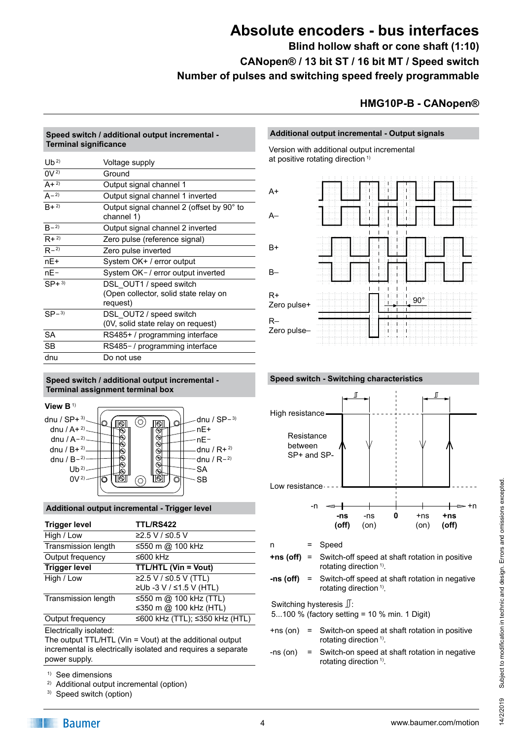**Blind hollow shaft or cone shaft (1:10) CANopen® / 13 bit ST / 16 bit MT / Speed switch Number of pulses and switching speed freely programmable**

### **HMG10P-B - CANopen®**

#### **Speed switch / additional output incremental - Terminal significance**

| $Ub^{2)}$ | Voltage supply                                          |
|-----------|---------------------------------------------------------|
| $0V^{2}$  | Ground                                                  |
| $A + 2$   | Output signal channel 1                                 |
| $A - 2$   | Output signal channel 1 inverted                        |
| $R + 2$   | Output signal channel 2 (offset by 90° to<br>channel 1) |
| $R - 2$   | Output signal channel 2 inverted                        |
| $R + 2$   | Zero pulse (reference signal)                           |
| $R - 2$   | Zero pulse inverted                                     |
| $nE+$     | System OK+ / error output                               |
| $nE-$     | System OK-/ error output inverted                       |
| $SP+3$    | DSL OUT1 / speed switch                                 |
|           | (Open collector, solid state relay on                   |
|           | request)                                                |
| $SP-3$    | DSL OUT2 / speed switch                                 |
|           | (0V, solid state relay on request)                      |
| <b>SA</b> | RS485+ / programming interface                          |
| SВ        | RS485-/programming interface                            |
| dnu       | Do not use                                              |

#### **Speed switch / additional output incremental - Terminal assignment terminal box**



#### **Additional output incremental - Trigger level**

| <b>Trigger level</b>       | <b>TTL/RS422</b>               |
|----------------------------|--------------------------------|
| High / Low                 | ≥2.5 V / ≤0.5 V                |
| <b>Transmission length</b> | ≤550 m @ 100 kHz               |
| Output frequency           | ≤600 kHz                       |
| <b>Trigger level</b>       | <b>TTL/HTL (Vin = Vout)</b>    |
| High / Low                 | ≥2.5 V / ≤0.5 V (TTL)          |
|                            | ≥Ub -3 V / ≤1.5 V (HTL)        |
| Transmission length        | ≤550 m @ 100 kHz (TTL)         |
|                            | ≤350 m @ 100 kHz (HTL)         |
| Output frequency           | ≤600 kHz (TTL); ≤350 kHz (HTL) |
|                            |                                |

Electrically isolated:

The output TTL/HTL (Vin = Vout) at the additional output incremental is electrically isolated and requires a separate power supply.

- 1) See dimensions
- 2) Additional output incremental (option)
- 3) Speed switch (option)

#### **Additional output incremental - Output signals**

Version with additional output incremental at positive rotating direction<sup>1)</sup>





n = Speed

- **+ns (off)** = Switch-off speed at shaft rotation in positive rotating direction<sup>1)</sup>.
- **-ns (off)** = Switch-off speed at shaft rotation in negative rotating direction<sup>1)</sup>.

Switching hysteresis  $\mathbb{J}$ :

5...100 % (factory setting = 10 % min. 1 Digit)

- +ns (on) = Switch-on speed at shaft rotation in positive rotating direction <sup>1)</sup>.
- -ns (on) = Switch-on speed at shaft rotation in negative rotating direction<sup>1)</sup>.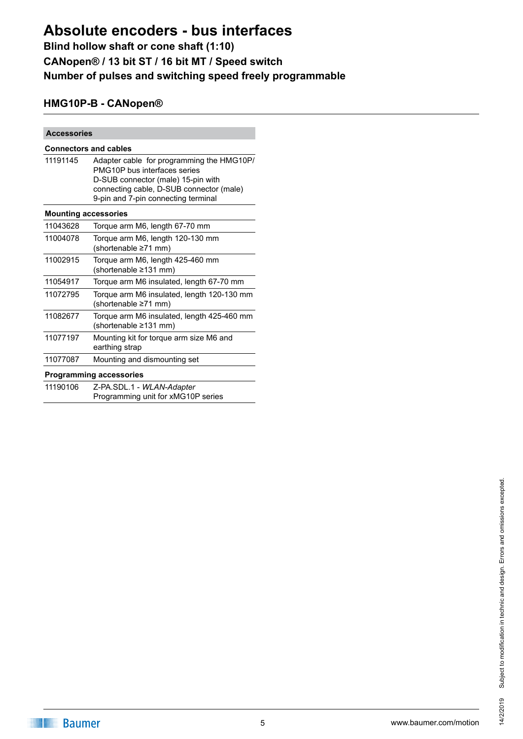# **Blind hollow shaft or cone shaft (1:10) CANopen® / 13 bit ST / 16 bit MT / Speed switch Number of pulses and switching speed freely programmable**

## **HMG10P-B - CANopen®**

| <b>Accessories</b>           |                                                                                                                                                                                                    |  |  |
|------------------------------|----------------------------------------------------------------------------------------------------------------------------------------------------------------------------------------------------|--|--|
| <b>Connectors and cables</b> |                                                                                                                                                                                                    |  |  |
| 11191145                     | Adapter cable for programming the HMG10P/<br>PMG10P bus interfaces series<br>D-SUB connector (male) 15-pin with<br>connecting cable, D-SUB connector (male)<br>9-pin and 7-pin connecting terminal |  |  |
| <b>Mounting accessories</b>  |                                                                                                                                                                                                    |  |  |
| 11043628                     | Torque arm M6, length 67-70 mm                                                                                                                                                                     |  |  |
| 11004078                     | Torque arm M6, length 120-130 mm<br>(shortenable ≥71 mm)                                                                                                                                           |  |  |
| 11002915                     | Torque arm M6, length 425-460 mm<br>(shortenable ≥131 mm)                                                                                                                                          |  |  |
| 11054917                     | Torque arm M6 insulated, length 67-70 mm                                                                                                                                                           |  |  |
| 11072795                     | Torque arm M6 insulated, length 120-130 mm<br>(shortenable ≥71 mm)                                                                                                                                 |  |  |
| 11082677                     | Torque arm M6 insulated, length 425-460 mm<br>(shortenable ≥131 mm)                                                                                                                                |  |  |
| 11077197                     | Mounting kit for torque arm size M6 and<br>earthing strap                                                                                                                                          |  |  |
| 11077087                     | Mounting and dismounting set                                                                                                                                                                       |  |  |
|                              | <b>Programming accessories</b>                                                                                                                                                                     |  |  |
| 11190106                     | Z-PA.SDL.1 - WLAN-Adapter<br>Programming unit for xMG10P series                                                                                                                                    |  |  |